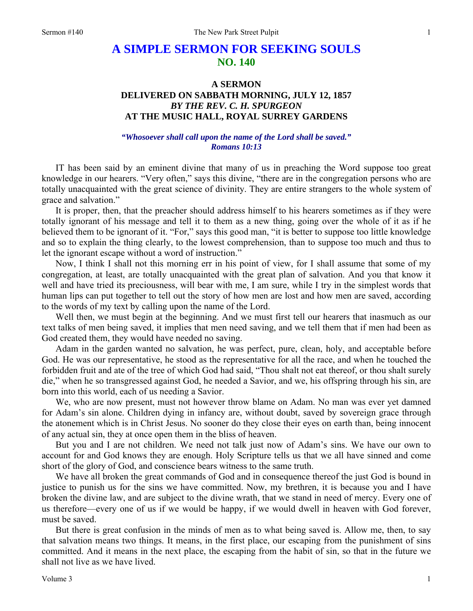# **A SIMPLE SERMON FOR SEEKING SOULS NO. 140**

# **A SERMON DELIVERED ON SABBATH MORNING, JULY 12, 1857**  *BY THE REV. C. H. SPURGEON*  **AT THE MUSIC HALL, ROYAL SURREY GARDENS**

## *"Whosoever shall call upon the name of the Lord shall be saved." Romans 10:13*

IT has been said by an eminent divine that many of us in preaching the Word suppose too great knowledge in our hearers. "Very often," says this divine, "there are in the congregation persons who are totally unacquainted with the great science of divinity. They are entire strangers to the whole system of grace and salvation."

It is proper, then, that the preacher should address himself to his hearers sometimes as if they were totally ignorant of his message and tell it to them as a new thing, going over the whole of it as if he believed them to be ignorant of it. "For," says this good man, "it is better to suppose too little knowledge and so to explain the thing clearly, to the lowest comprehension, than to suppose too much and thus to let the ignorant escape without a word of instruction."

Now, I think I shall not this morning err in his point of view, for I shall assume that some of my congregation, at least, are totally unacquainted with the great plan of salvation. And you that know it well and have tried its preciousness, will bear with me, I am sure, while I try in the simplest words that human lips can put together to tell out the story of how men are lost and how men are saved, according to the words of my text by calling upon the name of the Lord.

Well then, we must begin at the beginning. And we must first tell our hearers that inasmuch as our text talks of men being saved, it implies that men need saving, and we tell them that if men had been as God created them, they would have needed no saving.

Adam in the garden wanted no salvation, he was perfect, pure, clean, holy, and acceptable before God. He was our representative, he stood as the representative for all the race, and when he touched the forbidden fruit and ate of the tree of which God had said, "Thou shalt not eat thereof, or thou shalt surely die," when he so transgressed against God, he needed a Savior, and we, his offspring through his sin, are born into this world, each of us needing a Savior.

We, who are now present, must not however throw blame on Adam. No man was ever yet damned for Adam's sin alone. Children dying in infancy are, without doubt, saved by sovereign grace through the atonement which is in Christ Jesus. No sooner do they close their eyes on earth than, being innocent of any actual sin, they at once open them in the bliss of heaven.

But you and I are not children. We need not talk just now of Adam's sins. We have our own to account for and God knows they are enough. Holy Scripture tells us that we all have sinned and come short of the glory of God, and conscience bears witness to the same truth.

We have all broken the great commands of God and in consequence thereof the just God is bound in justice to punish us for the sins we have committed. Now, my brethren, it is because you and I have broken the divine law, and are subject to the divine wrath, that we stand in need of mercy. Every one of us therefore—every one of us if we would be happy, if we would dwell in heaven with God forever, must be saved.

But there is great confusion in the minds of men as to what being saved is. Allow me, then, to say that salvation means two things. It means, in the first place, our escaping from the punishment of sins committed. And it means in the next place, the escaping from the habit of sin, so that in the future we shall not live as we have lived.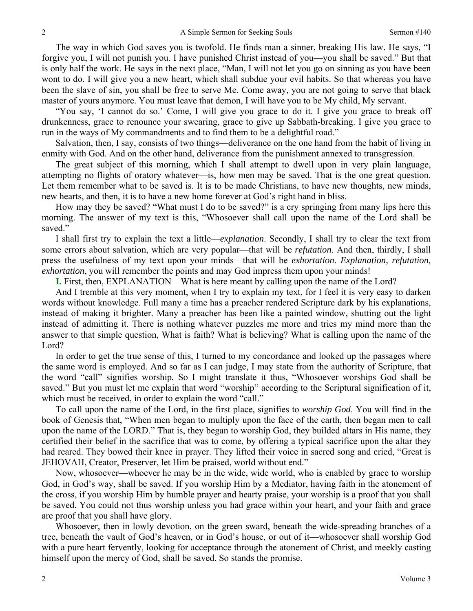The way in which God saves you is twofold. He finds man a sinner, breaking His law. He says, "I forgive you, I will not punish you. I have punished Christ instead of you—you shall be saved." But that is only half the work. He says in the next place, "Man, I will not let you go on sinning as you have been wont to do. I will give you a new heart, which shall subdue your evil habits. So that whereas you have been the slave of sin, you shall be free to serve Me. Come away, you are not going to serve that black master of yours anymore. You must leave that demon, I will have you to be My child, My servant.

"You say, 'I cannot do so.' Come, I will give you grace to do it. I give you grace to break off drunkenness, grace to renounce your swearing, grace to give up Sabbath-breaking. I give you grace to run in the ways of My commandments and to find them to be a delightful road."

Salvation, then, I say, consists of two things—deliverance on the one hand from the habit of living in enmity with God. And on the other hand, deliverance from the punishment annexed to transgression.

The great subject of this morning, which I shall attempt to dwell upon in very plain language, attempting no flights of oratory whatever—is, how men may be saved. That is the one great question. Let them remember what to be saved is. It is to be made Christians, to have new thoughts, new minds, new hearts, and then, it is to have a new home forever at God's right hand in bliss.

How may they be saved? "What must I do to be saved?" is a cry springing from many lips here this morning. The answer of my text is this, "Whosoever shall call upon the name of the Lord shall be saved."

I shall first try to explain the text a little—*explanation*. Secondly, I shall try to clear the text from some errors about salvation, which are very popular—that will be *refutation*. And then, thirdly, I shall press the usefulness of my text upon your minds—that will be *exhortation*. *Explanation, refutation, exhortation*, you will remember the points and may God impress them upon your minds!

**I.** First, then, EXPLANATION—What is here meant by calling upon the name of the Lord?

And I tremble at this very moment, when I try to explain my text, for I feel it is very easy to darken words without knowledge. Full many a time has a preacher rendered Scripture dark by his explanations, instead of making it brighter. Many a preacher has been like a painted window, shutting out the light instead of admitting it. There is nothing whatever puzzles me more and tries my mind more than the answer to that simple question, What is faith? What is believing? What is calling upon the name of the Lord?

In order to get the true sense of this, I turned to my concordance and looked up the passages where the same word is employed. And so far as I can judge, I may state from the authority of Scripture, that the word "call" signifies worship*.* So I might translate it thus, "Whosoever worships God shall be saved." But you must let me explain that word "worship" according to the Scriptural signification of it, which must be received, in order to explain the word "call."

To call upon the name of the Lord, in the first place, signifies to *worship God*. You will find in the book of Genesis that, "When men began to multiply upon the face of the earth, then began men to call upon the name of the LORD." That is, they began to worship God, they builded altars in His name, they certified their belief in the sacrifice that was to come, by offering a typical sacrifice upon the altar they had reared. They bowed their knee in prayer. They lifted their voice in sacred song and cried, "Great is JEHOVAH, Creator, Preserver, let Him be praised, world without end."

Now, whosoever—whoever he may be in the wide, wide world, who is enabled by grace to worship God, in God's way, shall be saved. If you worship Him by a Mediator, having faith in the atonement of the cross, if you worship Him by humble prayer and hearty praise, your worship is a proof that you shall be saved. You could not thus worship unless you had grace within your heart, and your faith and grace are proof that you shall have glory.

Whosoever, then in lowly devotion, on the green sward, beneath the wide-spreading branches of a tree, beneath the vault of God's heaven, or in God's house, or out of it—whosoever shall worship God with a pure heart fervently, looking for acceptance through the atonement of Christ, and meekly casting himself upon the mercy of God, shall be saved. So stands the promise.

2

2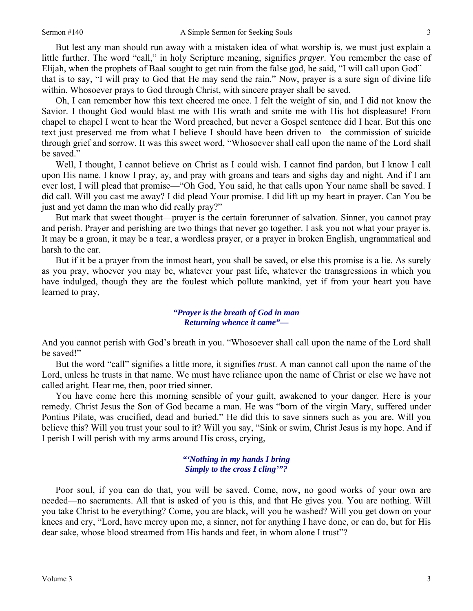But lest any man should run away with a mistaken idea of what worship is, we must just explain a little further. The word "call," in holy Scripture meaning, signifies *prayer*. You remember the case of Elijah, when the prophets of Baal sought to get rain from the false god, he said, "I will call upon God" that is to say, "I will pray to God that He may send the rain." Now, prayer is a sure sign of divine life within. Whosoever prays to God through Christ, with sincere prayer shall be saved.

Oh, I can remember how this text cheered me once. I felt the weight of sin, and I did not know the Savior. I thought God would blast me with His wrath and smite me with His hot displeasure! From chapel to chapel I went to hear the Word preached, but never a Gospel sentence did I hear. But this one text just preserved me from what I believe I should have been driven to—the commission of suicide through grief and sorrow. It was this sweet word, "Whosoever shall call upon the name of the Lord shall be saved."

Well, I thought, I cannot believe on Christ as I could wish. I cannot find pardon, but I know I call upon His name. I know I pray, ay, and pray with groans and tears and sighs day and night. And if I am ever lost, I will plead that promise—"Oh God, You said, he that calls upon Your name shall be saved. I did call. Will you cast me away? I did plead Your promise. I did lift up my heart in prayer. Can You be just and yet damn the man who did really pray?"

But mark that sweet thought—prayer is the certain forerunner of salvation. Sinner, you cannot pray and perish. Prayer and perishing are two things that never go together. I ask you not what your prayer is. It may be a groan, it may be a tear, a wordless prayer, or a prayer in broken English, ungrammatical and harsh to the ear.

But if it be a prayer from the inmost heart, you shall be saved, or else this promise is a lie. As surely as you pray, whoever you may be, whatever your past life, whatever the transgressions in which you have indulged, though they are the foulest which pollute mankind, yet if from your heart you have learned to pray,

#### *"Prayer is the breath of God in man Returning whence it came"—*

And you cannot perish with God's breath in you. "Whosoever shall call upon the name of the Lord shall be saved!"

But the word "call" signifies a little more, it signifies *trust*. A man cannot call upon the name of the Lord, unless he trusts in that name. We must have reliance upon the name of Christ or else we have not called aright. Hear me, then, poor tried sinner.

You have come here this morning sensible of your guilt, awakened to your danger. Here is your remedy. Christ Jesus the Son of God became a man. He was "born of the virgin Mary, suffered under Pontius Pilate, was crucified, dead and buried." He did this to save sinners such as you are. Will you believe this? Will you trust your soul to it? Will you say, "Sink or swim, Christ Jesus is my hope. And if I perish I will perish with my arms around His cross, crying,

### *"'Nothing in my hands I bring Simply to the cross I cling'"?*

Poor soul, if you can do that, you will be saved. Come, now, no good works of your own are needed—no sacraments. All that is asked of you is this, and that He gives you. You are nothing. Will you take Christ to be everything? Come, you are black, will you be washed? Will you get down on your knees and cry, "Lord, have mercy upon me, a sinner, not for anything I have done, or can do, but for His dear sake, whose blood streamed from His hands and feet, in whom alone I trust"?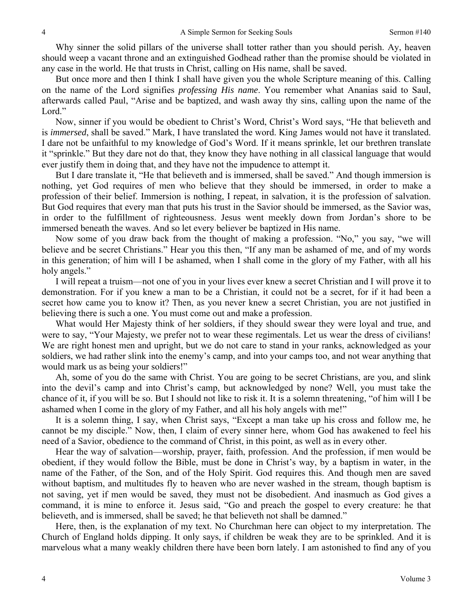Why sinner the solid pillars of the universe shall totter rather than you should perish. Ay, heaven should weep a vacant throne and an extinguished Godhead rather than the promise should be violated in any case in the world. He that trusts in Christ, calling on His name, shall be saved.

But once more and then I think I shall have given you the whole Scripture meaning of this. Calling on the name of the Lord signifies *professing His name*. You remember what Ananias said to Saul, afterwards called Paul, "Arise and be baptized, and wash away thy sins, calling upon the name of the Lord."

Now, sinner if you would be obedient to Christ's Word, Christ's Word says, "He that believeth and is *immersed*, shall be saved." Mark, I have translated the word. King James would not have it translated. I dare not be unfaithful to my knowledge of God's Word. If it means sprinkle, let our brethren translate it "sprinkle." But they dare not do that, they know they have nothing in all classical language that would ever justify them in doing that, and they have not the impudence to attempt it.

But I dare translate it, "He that believeth and is immersed, shall be saved." And though immersion is nothing, yet God requires of men who believe that they should be immersed, in order to make a profession of their belief. Immersion is nothing, I repeat, in salvation, it is the profession of salvation. But God requires that every man that puts his trust in the Savior should be immersed, as the Savior was, in order to the fulfillment of righteousness. Jesus went meekly down from Jordan's shore to be immersed beneath the waves. And so let every believer be baptized in His name.

Now some of you draw back from the thought of making a profession. "No," you say, "we will believe and be secret Christians." Hear you this then, "If any man be ashamed of me, and of my words in this generation; of him will I be ashamed, when I shall come in the glory of my Father, with all his holy angels."

I will repeat a truism—not one of you in your lives ever knew a secret Christian and I will prove it to demonstration. For if you knew a man to be a Christian, it could not be a secret, for if it had been a secret how came you to know it? Then, as you never knew a secret Christian, you are not justified in believing there is such a one. You must come out and make a profession.

What would Her Majesty think of her soldiers, if they should swear they were loyal and true, and were to say, "Your Majesty, we prefer not to wear these regimentals. Let us wear the dress of civilians! We are right honest men and upright, but we do not care to stand in your ranks, acknowledged as your soldiers, we had rather slink into the enemy's camp, and into your camps too, and not wear anything that would mark us as being your soldiers!"

Ah, some of you do the same with Christ. You are going to be secret Christians, are you, and slink into the devil's camp and into Christ's camp, but acknowledged by none? Well, you must take the chance of it, if you will be so. But I should not like to risk it. It is a solemn threatening, "of him will I be ashamed when I come in the glory of my Father, and all his holy angels with me!"

It is a solemn thing, I say, when Christ says, "Except a man take up his cross and follow me, he cannot be my disciple." Now, then, I claim of every sinner here, whom God has awakened to feel his need of a Savior, obedience to the command of Christ, in this point, as well as in every other.

Hear the way of salvation—worship, prayer, faith, profession. And the profession, if men would be obedient, if they would follow the Bible, must be done in Christ's way, by a baptism in water, in the name of the Father, of the Son, and of the Holy Spirit. God requires this. And though men are saved without baptism, and multitudes fly to heaven who are never washed in the stream, though baptism is not saving, yet if men would be saved, they must not be disobedient. And inasmuch as God gives a command, it is mine to enforce it. Jesus said, "Go and preach the gospel to every creature: he that believeth, and is immersed, shall be saved; he that believeth not shall be damned."

Here, then, is the explanation of my text. No Churchman here can object to my interpretation. The Church of England holds dipping. It only says, if children be weak they are to be sprinkled. And it is marvelous what a many weakly children there have been born lately. I am astonished to find any of you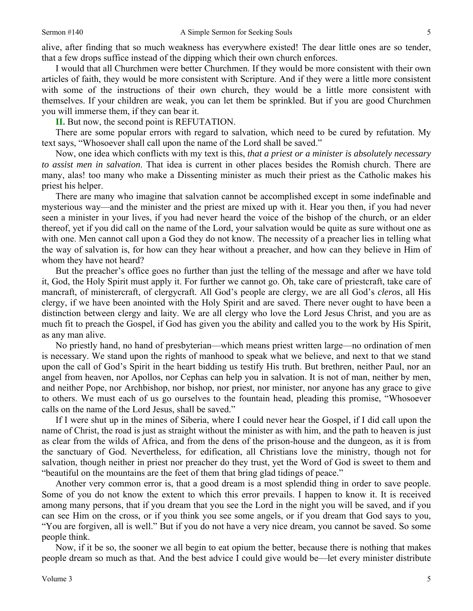alive, after finding that so much weakness has everywhere existed! The dear little ones are so tender, that a few drops suffice instead of the dipping which their own church enforces.

I would that all Churchmen were better Churchmen. If they would be more consistent with their own articles of faith, they would be more consistent with Scripture. And if they were a little more consistent with some of the instructions of their own church, they would be a little more consistent with themselves. If your children are weak, you can let them be sprinkled. But if you are good Churchmen you will immerse them, if they can bear it.

**II.** But now, the second point is REFUTATION.

There are some popular errors with regard to salvation, which need to be cured by refutation. My text says, "Whosoever shall call upon the name of the Lord shall be saved."

Now, one idea which conflicts with my text is this, *that a priest or a minister is absolutely necessary to assist men in salvation*. That idea is current in other places besides the Romish church. There are many, alas! too many who make a Dissenting minister as much their priest as the Catholic makes his priest his helper.

There are many who imagine that salvation cannot be accomplished except in some indefinable and mysterious way—and the minister and the priest are mixed up with it. Hear you then, if you had never seen a minister in your lives, if you had never heard the voice of the bishop of the church, or an elder thereof, yet if you did call on the name of the Lord, your salvation would be quite as sure without one as with one. Men cannot call upon a God they do not know. The necessity of a preacher lies in telling what the way of salvation is, for how can they hear without a preacher, and how can they believe in Him of whom they have not heard?

But the preacher's office goes no further than just the telling of the message and after we have told it, God, the Holy Spirit must apply it. For further we cannot go. Oh, take care of priestcraft, take care of mancraft, of ministercraft, of clergycraft. All God's people are clergy, we are all God's *cleros*, all His clergy, if we have been anointed with the Holy Spirit and are saved. There never ought to have been a distinction between clergy and laity. We are all clergy who love the Lord Jesus Christ, and you are as much fit to preach the Gospel, if God has given you the ability and called you to the work by His Spirit, as any man alive.

No priestly hand, no hand of presbyterian—which means priest written large—no ordination of men is necessary. We stand upon the rights of manhood to speak what we believe, and next to that we stand upon the call of God's Spirit in the heart bidding us testify His truth. But brethren, neither Paul, nor an angel from heaven, nor Apollos, nor Cephas can help you in salvation. It is not of man, neither by men, and neither Pope, nor Archbishop, nor bishop, nor priest, nor minister, nor anyone has any grace to give to others. We must each of us go ourselves to the fountain head, pleading this promise, "Whosoever calls on the name of the Lord Jesus, shall be saved."

If I were shut up in the mines of Siberia, where I could never hear the Gospel, if I did call upon the name of Christ, the road is just as straight without the minister as with him, and the path to heaven is just as clear from the wilds of Africa, and from the dens of the prison-house and the dungeon, as it is from the sanctuary of God. Nevertheless, for edification, all Christians love the ministry, though not for salvation, though neither in priest nor preacher do they trust, yet the Word of God is sweet to them and "beautiful on the mountains are the feet of them that bring glad tidings of peace."

Another very common error is, that a good dream is a most splendid thing in order to save people. Some of you do not know the extent to which this error prevails. I happen to know it. It is received among many persons, that if you dream that you see the Lord in the night you will be saved, and if you can see Him on the cross, or if you think you see some angels, or if you dream that God says to you, "You are forgiven, all is well." But if you do not have a very nice dream, you cannot be saved. So some people think.

Now, if it be so, the sooner we all begin to eat opium the better, because there is nothing that makes people dream so much as that. And the best advice I could give would be—let every minister distribute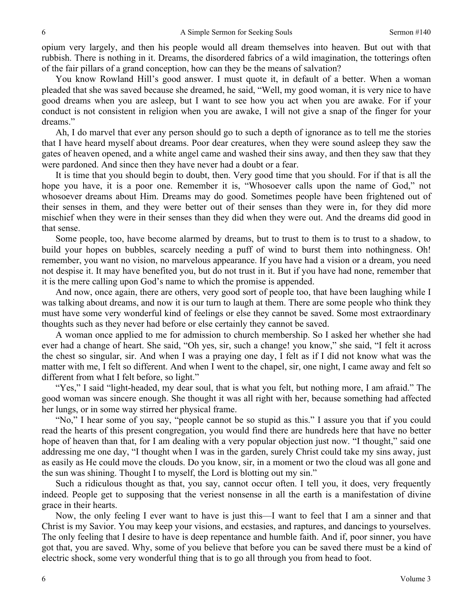opium very largely, and then his people would all dream themselves into heaven. But out with that rubbish. There is nothing in it. Dreams, the disordered fabrics of a wild imagination, the totterings often of the fair pillars of a grand conception, how can they be the means of salvation?

You know Rowland Hill's good answer. I must quote it, in default of a better. When a woman pleaded that she was saved because she dreamed, he said, "Well, my good woman, it is very nice to have good dreams when you are asleep, but I want to see how you act when you are awake. For if your conduct is not consistent in religion when you are awake, I will not give a snap of the finger for your dreams."

Ah, I do marvel that ever any person should go to such a depth of ignorance as to tell me the stories that I have heard myself about dreams. Poor dear creatures, when they were sound asleep they saw the gates of heaven opened, and a white angel came and washed their sins away, and then they saw that they were pardoned. And since then they have never had a doubt or a fear.

It is time that you should begin to doubt, then. Very good time that you should. For if that is all the hope you have, it is a poor one. Remember it is, "Whosoever calls upon the name of God," not whosoever dreams about Him. Dreams may do good. Sometimes people have been frightened out of their senses in them, and they were better out of their senses than they were in, for they did more mischief when they were in their senses than they did when they were out. And the dreams did good in that sense.

Some people, too, have become alarmed by dreams, but to trust to them is to trust to a shadow, to build your hopes on bubbles, scarcely needing a puff of wind to burst them into nothingness. Oh! remember, you want no vision, no marvelous appearance. If you have had a vision or a dream, you need not despise it. It may have benefited you, but do not trust in it. But if you have had none, remember that it is the mere calling upon God's name to which the promise is appended.

And now, once again, there are others, very good sort of people too, that have been laughing while I was talking about dreams, and now it is our turn to laugh at them. There are some people who think they must have some very wonderful kind of feelings or else they cannot be saved. Some most extraordinary thoughts such as they never had before or else certainly they cannot be saved.

A woman once applied to me for admission to church membership. So I asked her whether she had ever had a change of heart. She said, "Oh yes, sir, such a change! you know," she said, "I felt it across the chest so singular, sir. And when I was a praying one day, I felt as if I did not know what was the matter with me, I felt so different. And when I went to the chapel, sir, one night, I came away and felt so different from what I felt before, so light."

"Yes," I said "light-headed, my dear soul, that is what you felt, but nothing more, I am afraid." The good woman was sincere enough. She thought it was all right with her, because something had affected her lungs, or in some way stirred her physical frame.

"No," I hear some of you say, "people cannot be so stupid as this." I assure you that if you could read the hearts of this present congregation, you would find there are hundreds here that have no better hope of heaven than that, for I am dealing with a very popular objection just now. "I thought," said one addressing me one day, "I thought when I was in the garden, surely Christ could take my sins away, just as easily as He could move the clouds. Do you know, sir, in a moment or two the cloud was all gone and the sun was shining. Thought I to myself, the Lord is blotting out my sin."

Such a ridiculous thought as that, you say, cannot occur often. I tell you, it does, very frequently indeed. People get to supposing that the veriest nonsense in all the earth is a manifestation of divine grace in their hearts.

Now, the only feeling I ever want to have is just this—I want to feel that I am a sinner and that Christ is my Savior. You may keep your visions, and ecstasies, and raptures, and dancings to yourselves. The only feeling that I desire to have is deep repentance and humble faith. And if, poor sinner, you have got that, you are saved. Why, some of you believe that before you can be saved there must be a kind of electric shock, some very wonderful thing that is to go all through you from head to foot.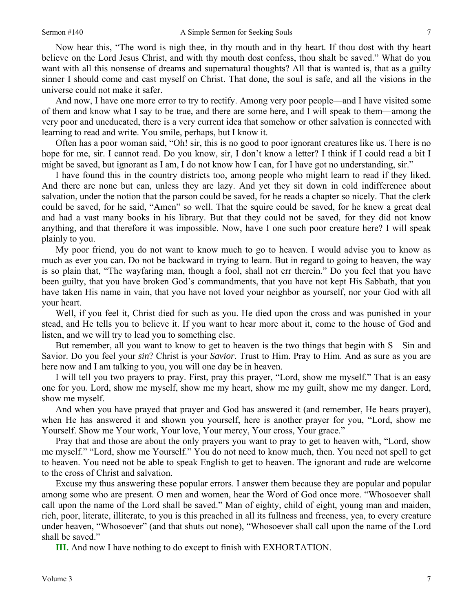Now hear this, "The word is nigh thee, in thy mouth and in thy heart. If thou dost with thy heart believe on the Lord Jesus Christ, and with thy mouth dost confess, thou shalt be saved." What do you want with all this nonsense of dreams and supernatural thoughts? All that is wanted is, that as a guilty sinner I should come and cast myself on Christ. That done, the soul is safe, and all the visions in the universe could not make it safer.

And now, I have one more error to try to rectify. Among very poor people—and I have visited some of them and know what I say to be true, and there are some here, and I will speak to them—among the very poor and uneducated, there is a very current idea that somehow or other salvation is connected with learning to read and write. You smile, perhaps, but I know it.

Often has a poor woman said, "Oh! sir, this is no good to poor ignorant creatures like us. There is no hope for me, sir. I cannot read. Do you know, sir, I don't know a letter? I think if I could read a bit I might be saved, but ignorant as I am, I do not know how I can, for I have got no understanding, sir."

I have found this in the country districts too, among people who might learn to read if they liked. And there are none but can, unless they are lazy. And yet they sit down in cold indifference about salvation, under the notion that the parson could be saved, for he reads a chapter so nicely. That the clerk could be saved, for he said, "Amen" so well. That the squire could be saved, for he knew a great deal and had a vast many books in his library. But that they could not be saved, for they did not know anything, and that therefore it was impossible. Now, have I one such poor creature here? I will speak plainly to you.

My poor friend, you do not want to know much to go to heaven. I would advise you to know as much as ever you can. Do not be backward in trying to learn. But in regard to going to heaven, the way is so plain that, "The wayfaring man, though a fool, shall not err therein." Do you feel that you have been guilty, that you have broken God's commandments, that you have not kept His Sabbath, that you have taken His name in vain, that you have not loved your neighbor as yourself, nor your God with all your heart.

Well, if you feel it, Christ died for such as you. He died upon the cross and was punished in your stead, and He tells you to believe it. If you want to hear more about it, come to the house of God and listen, and we will try to lead you to something else.

But remember, all you want to know to get to heaven is the two things that begin with S—Sin and Savior. Do you feel your *sin*? Christ is your *Savior*. Trust to Him. Pray to Him. And as sure as you are here now and I am talking to you, you will one day be in heaven.

I will tell you two prayers to pray. First, pray this prayer, "Lord, show me myself." That is an easy one for you. Lord, show me myself, show me my heart, show me my guilt, show me my danger. Lord, show me myself.

And when you have prayed that prayer and God has answered it (and remember, He hears prayer), when He has answered it and shown you yourself, here is another prayer for you, "Lord, show me Yourself. Show me Your work, Your love, Your mercy, Your cross, Your grace."

Pray that and those are about the only prayers you want to pray to get to heaven with, "Lord, show me myself." "Lord, show me Yourself." You do not need to know much, then. You need not spell to get to heaven. You need not be able to speak English to get to heaven. The ignorant and rude are welcome to the cross of Christ and salvation.

Excuse my thus answering these popular errors. I answer them because they are popular and popular among some who are present. O men and women, hear the Word of God once more. "Whosoever shall call upon the name of the Lord shall be saved." Man of eighty, child of eight, young man and maiden, rich, poor, literate, illiterate, to you is this preached in all its fullness and freeness, yea, to every creature under heaven, "Whosoever" (and that shuts out none), "Whosoever shall call upon the name of the Lord shall be saved."

**III.** And now I have nothing to do except to finish with EXHORTATION.

7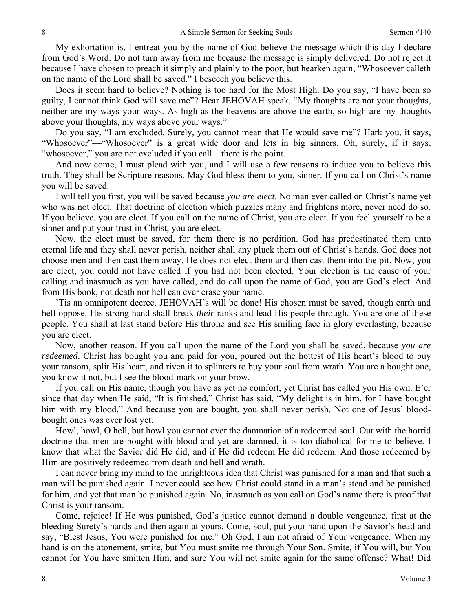My exhortation is, I entreat you by the name of God believe the message which this day I declare from God's Word. Do not turn away from me because the message is simply delivered. Do not reject it because I have chosen to preach it simply and plainly to the poor, but hearken again, "Whosoever calleth on the name of the Lord shall be saved." I beseech you believe this.

Does it seem hard to believe? Nothing is too hard for the Most High. Do you say, "I have been so guilty, I cannot think God will save me"? Hear JEHOVAH speak, "My thoughts are not your thoughts, neither are my ways your ways. As high as the heavens are above the earth, so high are my thoughts above your thoughts, my ways above your ways."

Do you say, "I am excluded. Surely, you cannot mean that He would save me"? Hark you, it says, "Whosoever"—"Whosoever" is a great wide door and lets in big sinners. Oh, surely, if it says, "whosoever," you are not excluded if you call—there is the point.

And now come, I must plead with you, and I will use a few reasons to induce you to believe this truth. They shall be Scripture reasons. May God bless them to you, sinner. If you call on Christ's name you will be saved.

I will tell you first, you will be saved because *you are elect*. No man ever called on Christ's name yet who was not elect. That doctrine of election which puzzles many and frightens more, never need do so. If you believe, you are elect. If you call on the name of Christ, you are elect. If you feel yourself to be a sinner and put your trust in Christ, you are elect.

Now, the elect must be saved, for them there is no perdition. God has predestinated them unto eternal life and they shall never perish, neither shall any pluck them out of Christ's hands. God does not choose men and then cast them away. He does not elect them and then cast them into the pit. Now, you are elect, you could not have called if you had not been elected. Your election is the cause of your calling and inasmuch as you have called, and do call upon the name of God, you are God's elect. And from His book, not death nor hell can ever erase your name.

'Tis an omnipotent decree. JEHOVAH's will be done! His chosen must be saved, though earth and hell oppose. His strong hand shall break *their* ranks and lead His people through. You are one of these people. You shall at last stand before His throne and see His smiling face in glory everlasting, because you are elect.

Now, another reason. If you call upon the name of the Lord you shall be saved, because *you are redeemed*. Christ has bought you and paid for you, poured out the hottest of His heart's blood to buy your ransom, split His heart, and riven it to splinters to buy your soul from wrath. You are a bought one, you know it not, but I see the blood-mark on your brow.

If you call on His name, though you have as yet no comfort, yet Christ has called you His own. E'er since that day when He said, "It is finished," Christ has said, "My delight is in him, for I have bought him with my blood." And because you are bought, you shall never perish. Not one of Jesus' bloodbought ones was ever lost yet.

Howl, howl, O hell, but howl you cannot over the damnation of a redeemed soul. Out with the horrid doctrine that men are bought with blood and yet are damned, it is too diabolical for me to believe. I know that what the Savior did He did, and if He did redeem He did redeem. And those redeemed by Him are positively redeemed from death and hell and wrath.

I can never bring my mind to the unrighteous idea that Christ was punished for a man and that such a man will be punished again. I never could see how Christ could stand in a man's stead and be punished for him, and yet that man be punished again. No, inasmuch as you call on God's name there is proof that Christ is your ransom.

Come, rejoice! If He was punished, God's justice cannot demand a double vengeance, first at the bleeding Surety's hands and then again at yours. Come, soul, put your hand upon the Savior's head and say, "Blest Jesus, You were punished for me." Oh God, I am not afraid of Your vengeance. When my hand is on the atonement, smite, but You must smite me through Your Son. Smite, if You will, but You cannot for You have smitten Him, and sure You will not smite again for the same offense? What! Did